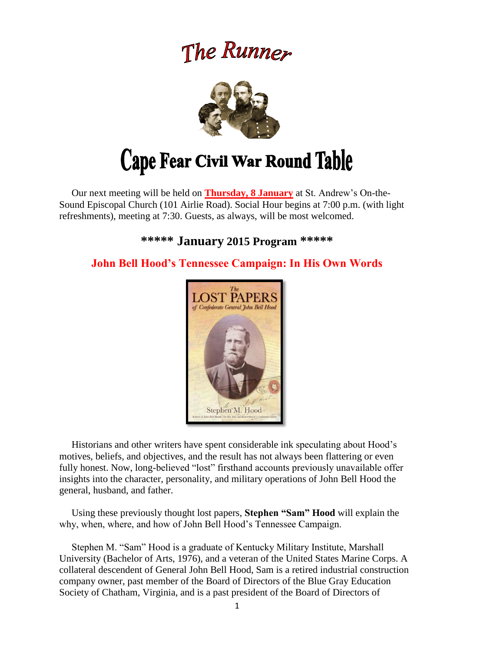# The Runner



 Our next meeting will be held on **Thursday, 8 January** at St. Andrew's On-the-Sound Episcopal Church (101 Airlie Road). Social Hour begins at 7:00 p.m. (with light refreshments), meeting at 7:30. Guests, as always, will be most welcomed.

# **\*\*\*\*\* January 2015 Program \*\*\*\*\***

# **John Bell Hood's Tennessee Campaign: In His Own Words**



 Historians and other writers have spent considerable ink speculating about Hood's motives, beliefs, and objectives, and the result has not always been flattering or even fully honest. Now, long-believed "lost" firsthand accounts previously unavailable offer insights into the character, personality, and military operations of John Bell Hood the general, husband, and father.

 Using these previously thought lost papers, **Stephen "Sam" Hood** will explain the why, when, where, and how of John Bell Hood's Tennessee Campaign.

 Stephen M. "Sam" Hood is a graduate of Kentucky Military Institute, Marshall University (Bachelor of Arts, 1976), and a veteran of the United States Marine Corps. A collateral descendent of General John Bell Hood, Sam is a retired industrial construction company owner, past member of the Board of Directors of the Blue Gray Education Society of Chatham, Virginia, and is a past president of the Board of Directors of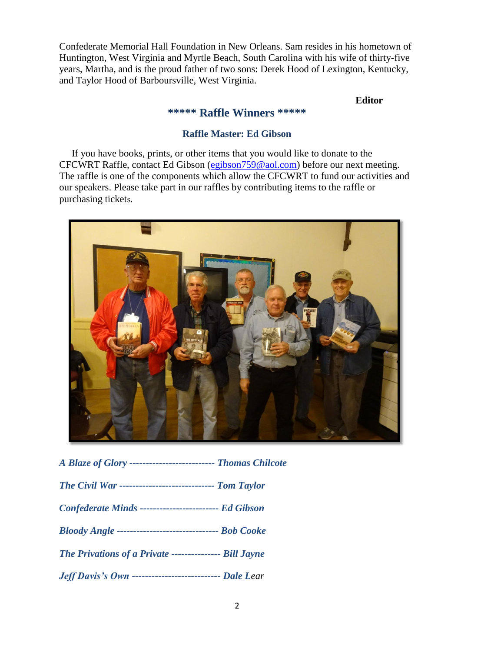Confederate Memorial Hall Foundation in New Orleans. Sam resides in his hometown of Huntington, West Virginia and Myrtle Beach, South Carolina with his wife of thirty-five years, Martha, and is the proud father of two sons: Derek Hood of Lexington, Kentucky, and Taylor Hood of Barboursville, West Virginia.

#### **Editor**

#### **\*\*\*\*\* Raffle Winners \*\*\*\*\***

#### **Raffle Master: Ed Gibson**

 If you have books, prints, or other items that you would like to donate to the CFCWRT Raffle, contact Ed Gibson [\(egibson759@aol.com\)](mailto:egibson759@aol.com) before our next meeting. The raffle is one of the components which allow the CFCWRT to fund our activities and our speakers. Please take part in our raffles by contributing items to the raffle or purchasing tickets.



| A Blaze of Glory --------------------------- Thomas Chilcote |
|--------------------------------------------------------------|
| The Civil War ----------------------------- Tom Taylor       |
| Confederate Minds ------------------------- Ed Gibson        |
| Bloody Angle ---------------------------------- Bob Cooke    |
| The Privations of a Private ---------------- Bill Jayne      |
| Jeff Davis's Own ---------------------------- Dale Lear      |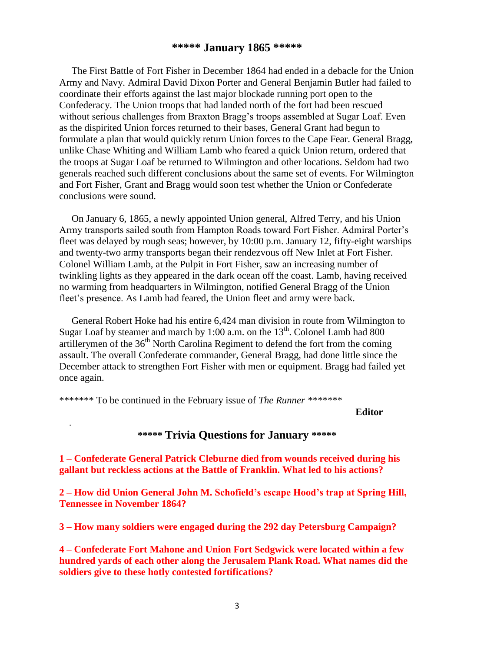#### **\*\*\*\*\* January 1865 \*\*\*\*\***

The First Battle of Fort Fisher in December 1864 had ended in a debacle for the Union Army and Navy. Admiral David Dixon Porter and General Benjamin Butler had failed to coordinate their efforts against the last major blockade running port open to the Confederacy. The Union troops that had landed north of the fort had been rescued without serious challenges from Braxton Bragg's troops assembled at Sugar Loaf. Even as the dispirited Union forces returned to their bases, General Grant had begun to formulate a plan that would quickly return Union forces to the Cape Fear. General Bragg, unlike Chase Whiting and William Lamb who feared a quick Union return, ordered that the troops at Sugar Loaf be returned to Wilmington and other locations. Seldom had two generals reached such different conclusions about the same set of events. For Wilmington and Fort Fisher, Grant and Bragg would soon test whether the Union or Confederate conclusions were sound.

 On January 6, 1865, a newly appointed Union general, Alfred Terry, and his Union Army transports sailed south from Hampton Roads toward Fort Fisher. Admiral Porter's fleet was delayed by rough seas; however, by 10:00 p.m. January 12, fifty-eight warships and twenty-two army transports began their rendezvous off New Inlet at Fort Fisher. Colonel William Lamb, at the Pulpit in Fort Fisher, saw an increasing number of twinkling lights as they appeared in the dark ocean off the coast. Lamb, having received no warming from headquarters in Wilmington, notified General Bragg of the Union fleet's presence. As Lamb had feared, the Union fleet and army were back.

 General Robert Hoke had his entire 6,424 man division in route from Wilmington to Sugar Loaf by steamer and march by 1:00 a.m. on the  $13<sup>th</sup>$ . Colonel Lamb had 800 artillerymen of the  $36<sup>th</sup>$  North Carolina Regiment to defend the fort from the coming assault. The overall Confederate commander, General Bragg, had done little since the December attack to strengthen Fort Fisher with men or equipment. Bragg had failed yet once again.

\*\*\*\*\*\*\* To be continued in the February issue of *The Runner \*\*\*\*\*\*\**

.

**Editor**

#### **\*\*\*\*\* Trivia Questions for January \*\*\*\*\***

**1 – Confederate General Patrick Cleburne died from wounds received during his gallant but reckless actions at the Battle of Franklin. What led to his actions?**

**2 – How did Union General John M. Schofield's escape Hood's trap at Spring Hill, Tennessee in November 1864?**

**3 – How many soldiers were engaged during the 292 day Petersburg Campaign?**

**4 – Confederate Fort Mahone and Union Fort Sedgwick were located within a few hundred yards of each other along the Jerusalem Plank Road. What names did the soldiers give to these hotly contested fortifications?**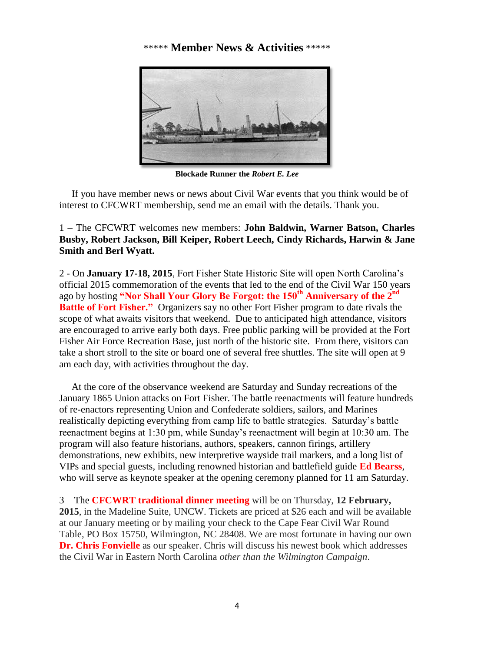#### \*\*\*\*\* **Member News & Activities** \*\*\*\*\*



**Blockade Runner the** *Robert E. Lee*

 If you have member news or news about Civil War events that you think would be of interest to CFCWRT membership, send me an email with the details. Thank you.

1 – The CFCWRT welcomes new members: **John Baldwin, Warner Batson, Charles Busby, Robert Jackson, Bill Keiper, Robert Leech, Cindy Richards, Harwin & Jane Smith and Berl Wyatt.**

2 - On **January 17-18, 2015**, Fort Fisher State Historic Site will open North Carolina's official 2015 commemoration of the events that led to the end of the Civil War 150 years ago by hosting **"Nor Shall Your Glory Be Forgot: the 150th Anniversary of the 2nd Battle of Fort Fisher."** Organizers say no other Fort Fisher program to date rivals the scope of what awaits visitors that weekend. Due to anticipated high attendance, visitors are encouraged to arrive early both days. Free public parking will be provided at the Fort Fisher Air Force Recreation Base, just north of the historic site. From there, visitors can take a short stroll to the site or board one of several free shuttles. The site will open at 9 am each day, with activities throughout the day.

 At the core of the observance weekend are Saturday and Sunday recreations of the January 1865 Union attacks on Fort Fisher. The battle reenactments will feature hundreds of re-enactors representing Union and Confederate soldiers, sailors, and Marines realistically depicting everything from camp life to battle strategies. Saturday's battle reenactment begins at 1:30 pm, while Sunday's reenactment will begin at 10:30 am. The program will also feature historians, authors, speakers, cannon firings, artillery demonstrations, new exhibits, new interpretive wayside trail markers, and a long list of VIPs and special guests, including renowned historian and battlefield guide **Ed Bearss**, who will serve as keynote speaker at the opening ceremony planned for 11 am Saturday.

3 – The **CFCWRT traditional dinner meeting** will be on Thursday, **12 February, 2015**, in the Madeline Suite, UNCW. Tickets are priced at \$26 each and will be available at our January meeting or by mailing your check to the Cape Fear Civil War Round Table, PO Box 15750, Wilmington, NC 28408. We are most fortunate in having our own **Dr. Chris Fonvielle** as our speaker. Chris will discuss his newest book which addresses the Civil War in Eastern North Carolina *other than the Wilmington Campaign*.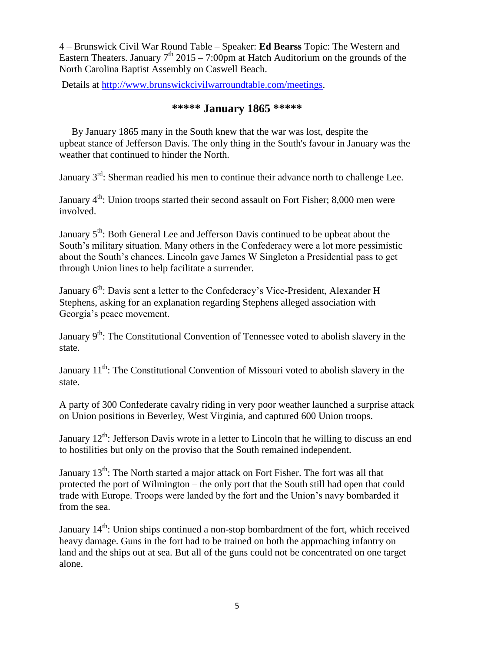4 – Brunswick Civil War Round Table – Speaker: **Ed Bearss** Topic: The Western and Eastern Theaters. January  $7<sup>th</sup>$  2015 – 7:00pm at Hatch Auditorium on the grounds of the North Carolina Baptist Assembly on Caswell Beach.

Details at [http://www.brunswickcivilwarroundtable.com/meetings.](http://www.brunswickcivilwarroundtable.com/meetings)

### **\*\*\*\*\* January 1865 \*\*\*\*\***

 By January 1865 many in the South knew that the war was lost, despite the upbeat stance of Jefferson Davis. The only thing in the South's favour in January was the weather that continued to hinder the North.

January  $3^{rd}$ : Sherman readied his men to continue their advance north to challenge Lee.

January  $4<sup>th</sup>$ : Union troops started their second assault on Fort Fisher; 8,000 men were involved.

January 5<sup>th</sup>: Both General Lee and Jefferson Davis continued to be upbeat about the South's military situation. Many others in the Confederacy were a lot more pessimistic about the South's chances. Lincoln gave James W Singleton a Presidential pass to get through Union lines to help facilitate a surrender.

January 6<sup>th</sup>: Davis sent a letter to the Confederacy's Vice-President, Alexander H Stephens, asking for an explanation regarding Stephens alleged association with Georgia's peace movement.

January  $9<sup>th</sup>$ : The Constitutional Convention of Tennessee voted to abolish slavery in the state.

January 11<sup>th</sup>: The Constitutional Convention of Missouri voted to abolish slavery in the state.

A party of 300 Confederate cavalry riding in very poor weather launched a surprise attack on Union positions in Beverley, West Virginia, and captured 600 Union troops.

January  $12^{th}$ : Jefferson Davis wrote in a letter to Lincoln that he willing to discuss an end to hostilities but only on the proviso that the South remained independent.

January 13<sup>th</sup>: The North started a major attack on Fort Fisher. The fort was all that protected the port of Wilmington – the only port that the South still had open that could trade with Europe. Troops were landed by the fort and the Union's navy bombarded it from the sea.

January 14<sup>th</sup>: Union ships continued a non-stop bombardment of the fort, which received heavy damage. Guns in the fort had to be trained on both the approaching infantry on land and the ships out at sea. But all of the guns could not be concentrated on one target alone.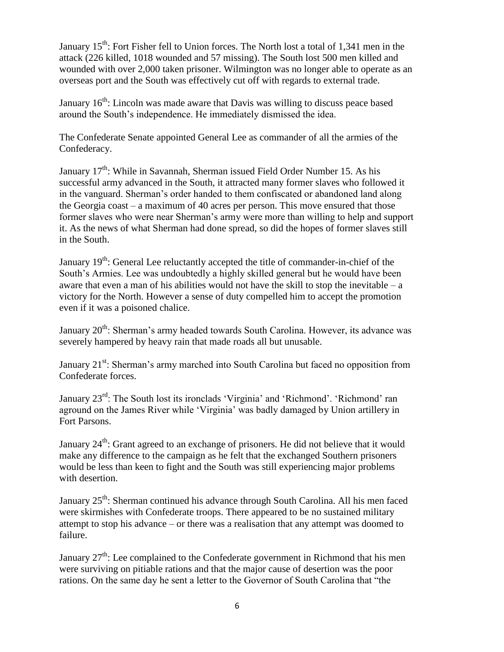January  $15<sup>th</sup>$ : Fort Fisher fell to Union forces. The North lost a total of 1,341 men in the attack (226 killed, 1018 wounded and 57 missing). The South lost 500 men killed and wounded with over 2,000 taken prisoner. Wilmington was no longer able to operate as an overseas port and the South was effectively cut off with regards to external trade.

January  $16<sup>th</sup>$ : Lincoln was made aware that Davis was willing to discuss peace based around the South's independence. He immediately dismissed the idea.

The Confederate Senate appointed General Lee as commander of all the armies of the Confederacy.

January 17<sup>th</sup>: While in Savannah, Sherman issued Field Order Number 15. As his successful army advanced in the South, it attracted many former slaves who followed it in the vanguard. Sherman's order handed to them confiscated or abandoned land along the Georgia coast – a maximum of 40 acres per person. This move ensured that those former slaves who were near Sherman's army were more than willing to help and support it. As the news of what Sherman had done spread, so did the hopes of former slaves still in the South.

January  $19<sup>th</sup>$ : General Lee reluctantly accepted the title of commander-in-chief of the South's Armies. Lee was undoubtedly a highly skilled general but he would have been aware that even a man of his abilities would not have the skill to stop the inevitable  $-$  a victory for the North. However a sense of duty compelled him to accept the promotion even if it was a poisoned chalice.

January  $20<sup>th</sup>$ : Sherman's army headed towards South Carolina. However, its advance was severely hampered by heavy rain that made roads all but unusable.

January 21<sup>st</sup>: Sherman's army marched into South Carolina but faced no opposition from Confederate forces.

January 23<sup>rd</sup>: The South lost its ironclads 'Virginia' and 'Richmond'. 'Richmond' ran aground on the James River while 'Virginia' was badly damaged by Union artillery in Fort Parsons.

January  $24<sup>th</sup>$ : Grant agreed to an exchange of prisoners. He did not believe that it would make any difference to the campaign as he felt that the exchanged Southern prisoners would be less than keen to fight and the South was still experiencing major problems with desertion.

January 25<sup>th</sup>: Sherman continued his advance through South Carolina. All his men faced were skirmishes with Confederate troops. There appeared to be no sustained military attempt to stop his advance – or there was a realisation that any attempt was doomed to failure.

January  $27<sup>th</sup>$ : Lee complained to the Confederate government in Richmond that his men were surviving on pitiable rations and that the major cause of desertion was the poor rations. On the same day he sent a letter to the Governor of South Carolina that "the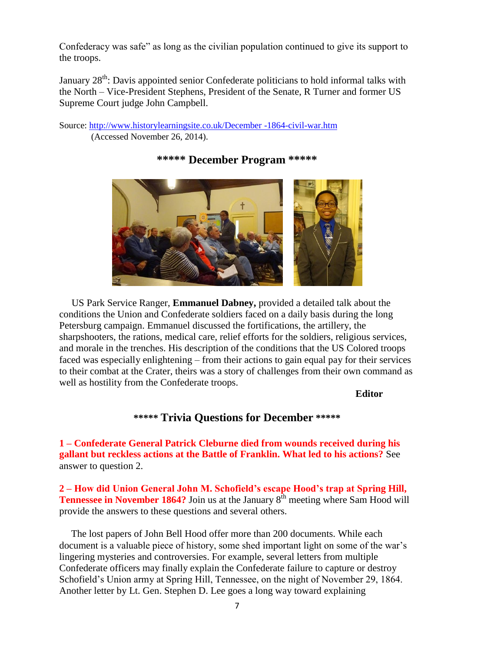Confederacy was safe" as long as the civilian population continued to give its support to the troops.

January 28<sup>th</sup>: Davis appointed senior Confederate politicians to hold informal talks with the North – Vice-President Stephens, President of the Senate, R Turner and former US Supreme Court judge John Campbell.

Source: [http://www.historylearningsite.co.uk/December -1864-civil-war.htm](http://www.historylearningsite.co.uk/December%20-1864-civil-war.htm) (Accessed November 26, 2014).



## **\*\*\*\*\* December Program \*\*\*\*\***

 US Park Service Ranger, **Emmanuel Dabney,** provided a detailed talk about the conditions the Union and Confederate soldiers faced on a daily basis during the long Petersburg campaign. Emmanuel discussed the fortifications, the artillery, the sharpshooters, the rations, medical care, relief efforts for the soldiers, religious services, and morale in the trenches. His description of the conditions that the US Colored troops faced was especially enlightening – from their actions to gain equal pay for their services to their combat at the Crater, theirs was a story of challenges from their own command as well as hostility from the Confederate troops.

#### **Editor**

# **\*\*\*\*\* Trivia Questions for December \*\*\*\*\***

**1 – Confederate General Patrick Cleburne died from wounds received during his gallant but reckless actions at the Battle of Franklin. What led to his actions?** See answer to question 2.

**2 – How did Union General John M. Schofield's escape Hood's trap at Spring Hill, Tennessee in November 1864?** Join us at the January 8<sup>th</sup> meeting where Sam Hood will provide the answers to these questions and several others.

 The lost papers of John Bell Hood offer more than 200 documents. While each document is a valuable piece of history, some shed important light on some of the war's lingering mysteries and controversies. For example, several letters from multiple Confederate officers may finally explain the Confederate failure to capture or destroy Schofield's Union army at Spring Hill, Tennessee, on the night of November 29, 1864. Another letter by Lt. Gen. Stephen D. Lee goes a long way toward explaining